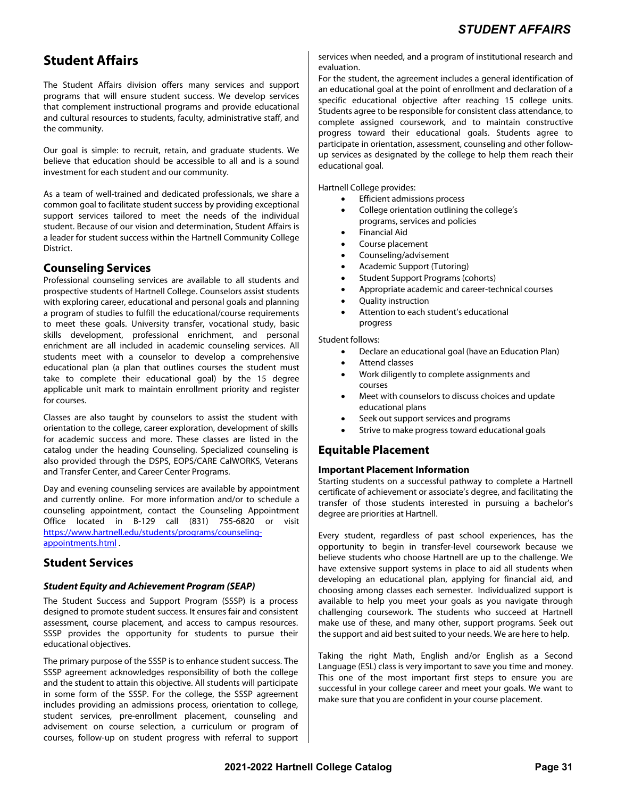# **Student Affairs**

The Student Affairs division offers many services and support programs that will ensure student success. We develop services that complement instructional programs and provide educational and cultural resources to students, faculty, administrative staff, and the community.

Our goal is simple: to recruit, retain, and graduate students. We believe that education should be accessible to all and is a sound investment for each student and our community.

As a team of well-trained and dedicated professionals, we share a common goal to facilitate student success by providing exceptional support services tailored to meet the needs of the individual student. Because of our vision and determination, Student Affairs is a leader for student success within the Hartnell Community College District.

# **Counseling Services**

Professional counseling services are available to all students and prospective students of Hartnell College. Counselors assist students with exploring career, educational and personal goals and planning a program of studies to fulfill the educational/course requirements to meet these goals. University transfer, vocational study, basic skills development, professional enrichment, and personal enrichment are all included in academic counseling services. All students meet with a counselor to develop a comprehensive educational plan (a plan that outlines courses the student must take to complete their educational goal) by the 15 degree applicable unit mark to maintain enrollment priority and register for courses.

Classes are also taught by counselors to assist the student with orientation to the college, career exploration, development of skills for academic success and more. These classes are listed in the catalog under the heading Counseling. Specialized counseling is also provided through the DSPS, EOPS/CARE CalWORKS, Veterans and Transfer Center, and Career Center Programs.

Day and evening counseling services are available by appointment and currently online. For more information and/or to schedule a counseling appointment, contact the Counseling Appointment Office located in B-129 call (831) 755-6820 or visit https://www.hartnell.edu/students/programs/counselingappointments.html .

# **Student Services**

## **Student Equity and Achievement Program (SEAP)**

The Student Success and Support Program (SSSP) is a process designed to promote student success. It ensures fair and consistent assessment, course placement, and access to campus resources. SSSP provides the opportunity for students to pursue their educational objectives.

The primary purpose of the SSSP is to enhance student success. The SSSP agreement acknowledges responsibility of both the college and the student to attain this objective. All students will participate in some form of the SSSP. For the college, the SSSP agreement includes providing an admissions process, orientation to college, student services, pre-enrollment placement, counseling and advisement on course selection, a curriculum or program of courses, follow-up on student progress with referral to support services when needed, and a program of institutional research and evaluation.

For the student, the agreement includes a general identification of an educational goal at the point of enrollment and declaration of a specific educational objective after reaching 15 college units. Students agree to be responsible for consistent class attendance, to complete assigned coursework, and to maintain constructive progress toward their educational goals. Students agree to participate in orientation, assessment, counseling and other followup services as designated by the college to help them reach their educational goal.

Hartnell College provides:

- Efficient admissions process
- College orientation outlining the college's programs, services and policies
- Financial Aid
- Course placement
- Counseling/advisement
- Academic Support (Tutoring)
- Student Support Programs (cohorts)
- Appropriate academic and career-technical courses
- Quality instruction
- Attention to each student's educational progress

Student follows:

- Declare an educational goal (have an Education Plan)
- Attend classes
- Work diligently to complete assignments and courses
- Meet with counselors to discuss choices and update educational plans
- Seek out support services and programs
- Strive to make progress toward educational goals

# **Equitable Placement**

#### **Important Placement Information**

Starting students on a successful pathway to complete a Hartnell certificate of achievement or associate's degree, and facilitating the transfer of those students interested in pursuing a bachelor's degree are priorities at Hartnell.

Every student, regardless of past school experiences, has the opportunity to begin in transfer-level coursework because we believe students who choose Hartnell are up to the challenge. We have extensive support systems in place to aid all students when developing an educational plan, applying for financial aid, and choosing among classes each semester. Individualized support is available to help you meet your goals as you navigate through challenging coursework. The students who succeed at Hartnell make use of these, and many other, support programs. Seek out the support and aid best suited to your needs. We are here to help.

Taking the right Math, English and/or English as a Second Language (ESL) class is very important to save you time and money. This one of the most important first steps to ensure you are successful in your college career and meet your goals. We want to make sure that you are confident in your course placement.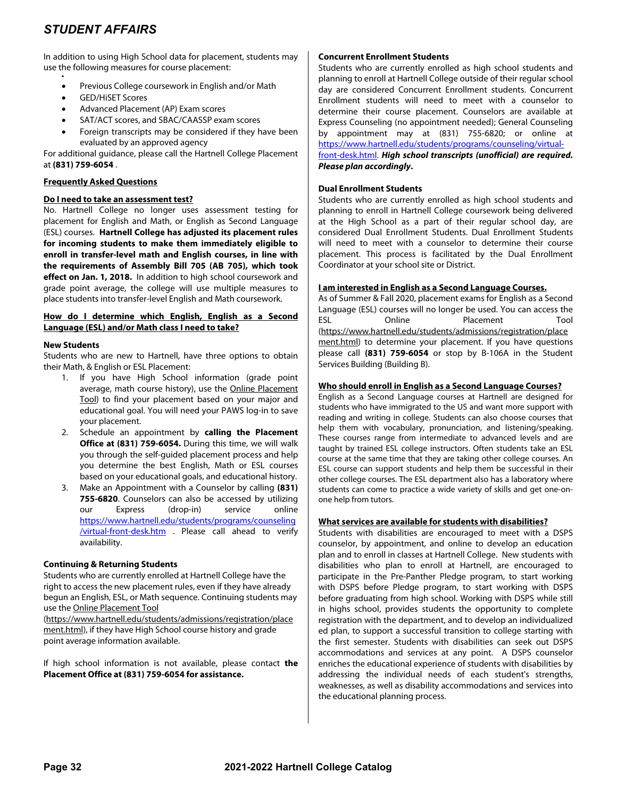.

In addition to using High School data for placement, students may use the following measures for course placement:

- Previous College coursework in English and/or Math
- GED/HiSET Scores
- Advanced Placement (AP) Exam scores
- SAT/ACT scores, and SBAC/CAASSP exam scores
- Foreign transcripts may be considered if they have been evaluated by an approved agency

For additional guidance, please call the Hartnell College Placement at **(831) 759-6054** .

### **Frequently Asked Questions**

#### **Do I need to take an assessment test?**

No. Hartnell College no longer uses assessment testing for placement for English and Math, or English as Second Language (ESL) courses. **Hartnell College has adjusted its placement rules for incoming students to make them immediately eligible to enroll in transfer-level math and English courses, in line with the requirements of Assembly Bill 705 (AB 705), which took effect on Jan. 1, 2018.** In addition to high school coursework and grade point average, the college will use multiple measures to place students into transfer-level English and Math coursework.

#### **How do I determine which English, English as a Second Language (ESL) and/or Math class I need to take?**

#### **New Students**

Students who are new to Hartnell, have three options to obtain their Math, & English or ESL Placement:

- 1. If you have High School information (grade point average, math course history), use the Online Placement Tool) to find your placement based on your major and educational goal. You will need your PAWS log-in to save your placement.
- 2. Schedule an appointment by **calling the Placement Office at (831) 759-6054.** During this time, we will walk you through the self-guided placement process and help you determine the best English, Math or ESL courses based on your educational goals, and educational history.
- 3. Make an Appointment with a Counselor by calling **(831) 755-6820**. Counselors can also be accessed by utilizing our Express (drop-in) service online https://www.hartnell.edu/students/programs/counseling /virtual-front-desk.htm . Please call ahead to verify availability.

#### **Continuing & Returning Students**

Students who are currently enrolled at Hartnell College have the right to access the new placement rules, even if they have already begun an English, ESL, or Math sequence. Continuing students may use the Online Placement Tool

(https://www.hartnell.edu/students/admissions/registration/place ment.html), if they have High School course history and grade point average information available.

If high school information is not available, please contact **the Placement Office at (831) 759-6054 for assistance.** 

#### **Concurrent Enrollment Students**

Students who are currently enrolled as high school students and planning to enroll at Hartnell College outside of their regular school day are considered Concurrent Enrollment students. Concurrent Enrollment students will need to meet with a counselor to determine their course placement. Counselors are available at Express Counseling (no appointment needed); General Counseling by appointment may at (831) 755-6820; or online at https://www.hartnell.edu/students/programs/counseling/virtual-

front-desk.html. **High school transcripts (unofficial) are required. Please plan accordingly.**

#### **Dual Enrollment Students**

Students who are currently enrolled as high school students and planning to enroll in Hartnell College coursework being delivered at the High School as a part of their regular school day, are considered Dual Enrollment Students. Dual Enrollment Students will need to meet with a counselor to determine their course placement. This process is facilitated by the Dual Enrollment Coordinator at your school site or District.

#### **I am interested in English as a Second Language Courses.**

As of Summer & Fall 2020, placement exams for English as a Second Language (ESL) courses will no longer be used. You can access the ESL Online Placement Tool (https://www.hartnell.edu/students/admissions/registration/place ment.html) to determine your placement. If you have questions please call **(831) 759-6054** or stop by B-106A in the Student Services Building (Building B).

#### **Who should enroll in English as a Second Language Courses?**

English as a Second Language courses at Hartnell are designed for students who have immigrated to the US and want more support with reading and writing in college. Students can also choose courses that help them with vocabulary, pronunciation, and listening/speaking. These courses range from intermediate to advanced levels and are taught by trained ESL college instructors. Often students take an ESL course at the same time that they are taking other college courses. An ESL course can support students and help them be successful in their other college courses. The ESL department also has a laboratory where students can come to practice a wide variety of skills and get one-onone help from tutors.

#### **What services are available for students with disabilities?**

Students with disabilities are encouraged to meet with a DSPS counselor, by appointment, and online to develop an education plan and to enroll in classes at Hartnell College. New students with disabilities who plan to enroll at Hartnell, are encouraged to participate in the Pre-Panther Pledge program, to start working with DSPS before Pledge program, to start working with DSPS before graduating from high school. Working with DSPS while still in highs school, provides students the opportunity to complete registration with the department, and to develop an individualized ed plan, to support a successful transition to college starting with the first semester. Students with disabilities can seek out DSPS accommodations and services at any point. A DSPS counselor enriches the educational experience of students with disabilities by addressing the individual needs of each student's strengths, weaknesses, as well as disability accommodations and services into the educational planning process.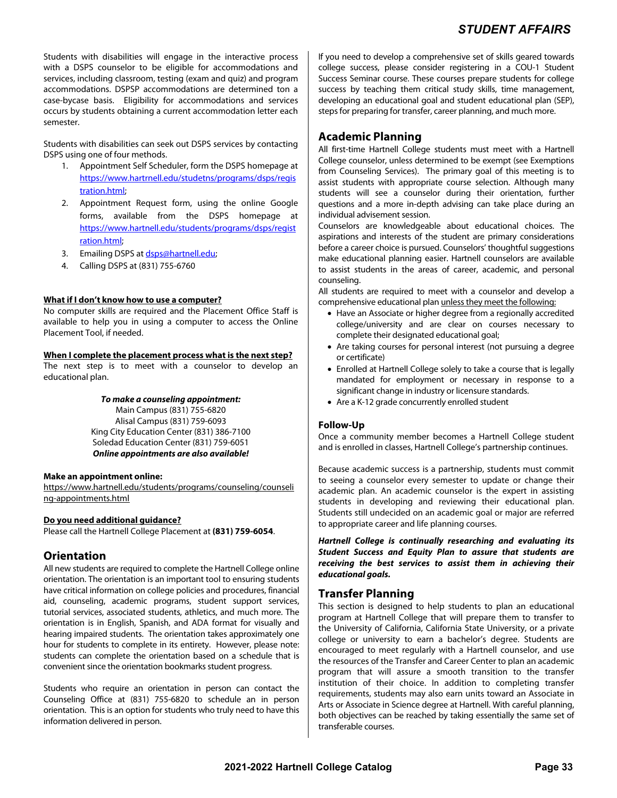Students with disabilities will engage in the interactive process with a DSPS counselor to be eligible for accommodations and services, including classroom, testing (exam and quiz) and program accommodations. DSPSP accommodations are determined ton a case-bycase basis. Eligibility for accommodations and services occurs by students obtaining a current accommodation letter each semester.

Students with disabilities can seek out DSPS services by contacting DSPS using one of four methods.

- 1. Appointment Self Scheduler, form the DSPS homepage at https://www.hartrnell.edu/studetns/programs/dsps/regis tration.html;
- 2. Appointment Request form, using the online Google forms, available from the DSPS homepage at https://www.hartnell.edu/students/programs/dsps/regist ration.html;
- 3. Emailing DSPS at dsps@hartnell.edu;
- 4. Calling DSPS at (831) 755-6760

#### **What if I don't know how to use a computer?**

No computer skills are required and the Placement Office Staff is available to help you in using a computer to access the Online Placement Tool, if needed.

#### **When I complete the placement process what is the next step?**

The next step is to meet with a counselor to develop an educational plan.

#### **To make a counseling appointment:**

Main Campus (831) 755-6820 Alisal Campus (831) 759-6093 King City Education Center (831) 386-7100 Soledad Education Center (831) 759-6051 **Online appointments are also available!** 

#### **Make an appointment online:**

https://www.hartnell.edu/students/programs/counseling/counseli ng-appointments.html

#### **Do you need additional guidance?**

Please call the Hartnell College Placement at **(831) 759-6054**.

# **Orientation**

All new students are required to complete the Hartnell College online orientation. The orientation is an important tool to ensuring students have critical information on college policies and procedures, financial aid, counseling, academic programs, student support services, tutorial services, associated students, athletics, and much more. The orientation is in English, Spanish, and ADA format for visually and hearing impaired students. The orientation takes approximately one hour for students to complete in its entirety. However, please note: students can complete the orientation based on a schedule that is convenient since the orientation bookmarks student progress.

Students who require an orientation in person can contact the Counseling Office at (831) 755-6820 to schedule an in person orientation. This is an option for students who truly need to have this information delivered in person.

If you need to develop a comprehensive set of skills geared towards college success, please consider registering in a COU-1 Student Success Seminar course. These courses prepare students for college success by teaching them critical study skills, time management, developing an educational goal and student educational plan (SEP), steps for preparing for transfer, career planning, and much more.

# **Academic Planning**

All first-time Hartnell College students must meet with a Hartnell College counselor, unless determined to be exempt (see Exemptions from Counseling Services). The primary goal of this meeting is to assist students with appropriate course selection. Although many students will see a counselor during their orientation, further questions and a more in-depth advising can take place during an individual advisement session.

Counselors are knowledgeable about educational choices. The aspirations and interests of the student are primary considerations before a career choice is pursued. Counselors' thoughtful suggestions make educational planning easier. Hartnell counselors are available to assist students in the areas of career, academic, and personal counseling.

All students are required to meet with a counselor and develop a comprehensive educational plan unless they meet the following:

- Have an Associate or higher degree from a regionally accredited college/university and are clear on courses necessary to complete their designated educational goal;
- Are taking courses for personal interest (not pursuing a degree or certificate)
- Enrolled at Hartnell College solely to take a course that is legally mandated for employment or necessary in response to a significant change in industry or licensure standards.
- Are a K-12 grade concurrently enrolled student

## **Follow-Up**

Once a community member becomes a Hartnell College student and is enrolled in classes, Hartnell College's partnership continues.

Because academic success is a partnership, students must commit to seeing a counselor every semester to update or change their academic plan. An academic counselor is the expert in assisting students in developing and reviewing their educational plan. Students still undecided on an academic goal or major are referred to appropriate career and life planning courses.

**Hartnell College is continually researching and evaluating its Student Success and Equity Plan to assure that students are receiving the best services to assist them in achieving their educational goals.** 

# **Transfer Planning**

This section is designed to help students to plan an educational program at Hartnell College that will prepare them to transfer to the University of California, California State University, or a private college or university to earn a bachelor's degree. Students are encouraged to meet regularly with a Hartnell counselor, and use the resources of the Transfer and Career Center to plan an academic program that will assure a smooth transition to the transfer institution of their choice. In addition to completing transfer requirements, students may also earn units toward an Associate in Arts or Associate in Science degree at Hartnell. With careful planning, both objectives can be reached by taking essentially the same set of transferable courses.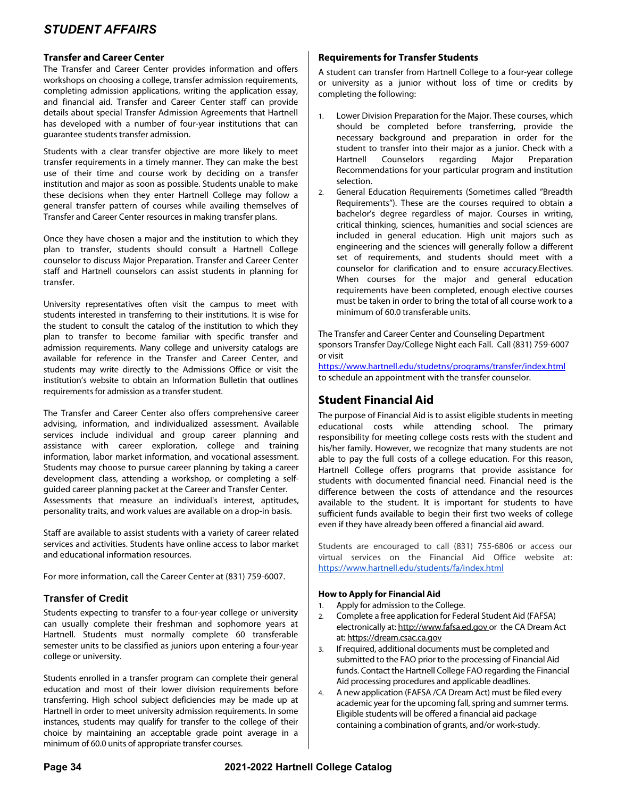### **Transfer and Career Center**

The Transfer and Career Center provides information and offers workshops on choosing a college, transfer admission requirements, completing admission applications, writing the application essay, and financial aid. Transfer and Career Center staff can provide details about special Transfer Admission Agreements that Hartnell has developed with a number of four-year institutions that can guarantee students transfer admission.

Students with a clear transfer objective are more likely to meet transfer requirements in a timely manner. They can make the best use of their time and course work by deciding on a transfer institution and major as soon as possible. Students unable to make these decisions when they enter Hartnell College may follow a general transfer pattern of courses while availing themselves of Transfer and Career Center resources in making transfer plans.

Once they have chosen a major and the institution to which they plan to transfer, students should consult a Hartnell College counselor to discuss Major Preparation. Transfer and Career Center staff and Hartnell counselors can assist students in planning for transfer.

University representatives often visit the campus to meet with students interested in transferring to their institutions. It is wise for the student to consult the catalog of the institution to which they plan to transfer to become familiar with specific transfer and admission requirements. Many college and university catalogs are available for reference in the Transfer and Career Center, and students may write directly to the Admissions Office or visit the institution's website to obtain an Information Bulletin that outlines requirements for admission as a transfer student.

The Transfer and Career Center also offers comprehensive career advising, information, and individualized assessment. Available services include individual and group career planning and assistance with career exploration, college and training information, labor market information, and vocational assessment. Students may choose to pursue career planning by taking a career development class, attending a workshop, or completing a selfguided career planning packet at the Career and Transfer Center. Assessments that measure an individual's interest, aptitudes, personality traits, and work values are available on a drop-in basis.

Staff are available to assist students with a variety of career related services and activities. Students have online access to labor market and educational information resources.

For more information, call the Career Center at (831) 759-6007.

## **Transfer of Credit**

Students expecting to transfer to a four-year college or university can usually complete their freshman and sophomore years at Hartnell. Students must normally complete 60 transferable semester units to be classified as juniors upon entering a four-year college or university.

Students enrolled in a transfer program can complete their general education and most of their lower division requirements before transferring. High school subject deficiencies may be made up at Hartnell in order to meet university admission requirements. In some instances, students may qualify for transfer to the college of their choice by maintaining an acceptable grade point average in a minimum of 60.0 units of appropriate transfer courses.

### **Requirements for Transfer Students**

A student can transfer from Hartnell College to a four-year college or university as a junior without loss of time or credits by completing the following:

- Lower Division Preparation for the Major. These courses, which should be completed before transferring, provide the necessary background and preparation in order for the student to transfer into their major as a junior. Check with a Hartnell Counselors regarding Major Preparation Recommendations for your particular program and institution selection.
- 2. General Education Requirements (Sometimes called "Breadth Requirements"). These are the courses required to obtain a bachelor's degree regardless of major. Courses in writing, critical thinking, sciences, humanities and social sciences are included in general education. High unit majors such as engineering and the sciences will generally follow a different set of requirements, and students should meet with a counselor for clarification and to ensure accuracy.Electives. When courses for the major and general education requirements have been completed, enough elective courses must be taken in order to bring the total of all course work to a minimum of 60.0 transferable units.

The Transfer and Career Center and Counseling Department sponsors Transfer Day/College Night each Fall. Call (831) 759-6007 or visit

https://www.hartnell.edu/studetns/programs/transfer/index.html to schedule an appointment with the transfer counselor.

# **Student Financial Aid**

The purpose of Financial Aid is to assist eligible students in meeting educational costs while attending school. The primary responsibility for meeting college costs rests with the student and his/her family. However, we recognize that many students are not able to pay the full costs of a college education. For this reason, Hartnell College offers programs that provide assistance for students with documented financial need. Financial need is the difference between the costs of attendance and the resources available to the student. It is important for students to have sufficient funds available to begin their first two weeks of college even if they have already been offered a financial aid award.

Students are encouraged to call (831) 755-6806 or access our virtual services on the Financial Aid Office website at: https://www.hartnell.edu/students/fa/index.html

#### **How to Apply for Financial Aid**

- 1. Apply for admission to the College.
- 2. Complete a free application for Federal Student Aid (FAFSA) electronically at: http://www.fafsa.ed.gov or the CA Dream Act at: https://dream.csac.ca.gov
- 3. If required, additional documents must be completed and submitted to the FAO prior to the processing of Financial Aid funds. Contact the Hartnell College FAO regarding the Financial Aid processing procedures and applicable deadlines.
- 4. A new application (FAFSA /CA Dream Act) must be filed every academic year for the upcoming fall, spring and summer terms. Eligible students will be offered a financial aid package containing a combination of grants, and/or work-study.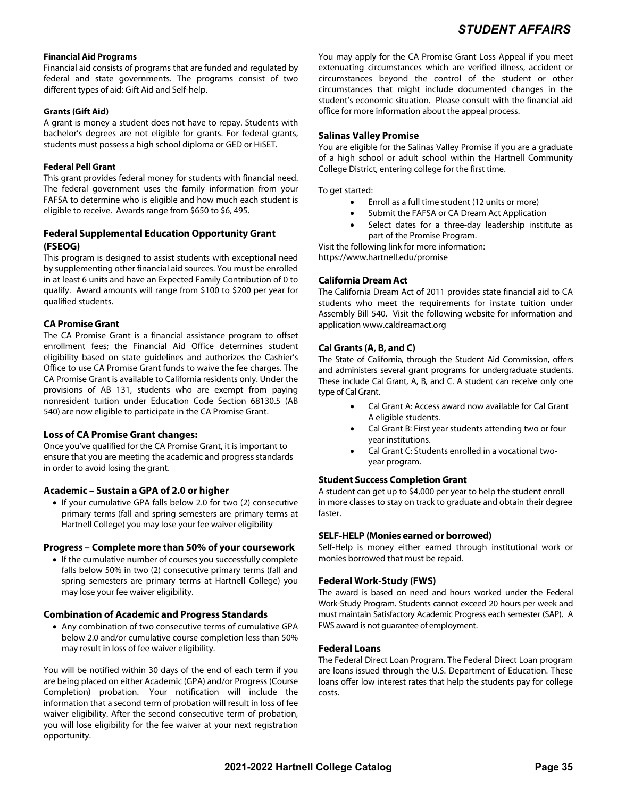#### **Financial Aid Programs**

Financial aid consists of programs that are funded and regulated by federal and state governments. The programs consist of two different types of aid: Gift Aid and Self-help.

#### **Grants (Gift Aid)**

A grant is money a student does not have to repay. Students with bachelor's degrees are not eligible for grants. For federal grants, students must possess a high school diploma or GED or HiSET.

#### **Federal Pell Grant**

This grant provides federal money for students with financial need. The federal government uses the family information from your FAFSA to determine who is eligible and how much each student is eligible to receive. Awards range from \$650 to \$6, 495.

### **Federal Supplemental Education Opportunity Grant (FSEOG)**

This program is designed to assist students with exceptional need by supplementing other financial aid sources. You must be enrolled in at least 6 units and have an Expected Family Contribution of 0 to qualify. Award amounts will range from \$100 to \$200 per year for qualified students.

#### **CA Promise Grant**

The CA Promise Grant is a financial assistance program to offset enrollment fees; the Financial Aid Office determines student eligibility based on state guidelines and authorizes the Cashier's Office to use CA Promise Grant funds to waive the fee charges. The CA Promise Grant is available to California residents only. Under the provisions of AB 131, students who are exempt from paying nonresident tuition under Education Code Section 68130.5 (AB 540) are now eligible to participate in the CA Promise Grant.

## **Loss of CA Promise Grant changes:**

Once you've qualified for the CA Promise Grant, it is important to ensure that you are meeting the academic and progress standards in order to avoid losing the grant.

#### **Academic – Sustain a GPA of 2.0 or higher**

• If your cumulative GPA falls below 2.0 for two (2) consecutive primary terms (fall and spring semesters are primary terms at Hartnell College) you may lose your fee waiver eligibility

#### **Progress – Complete more than 50% of your coursework**

• If the cumulative number of courses you successfully complete falls below 50% in two (2) consecutive primary terms (fall and spring semesters are primary terms at Hartnell College) you may lose your fee waiver eligibility.

#### **Combination of Academic and Progress Standards**

 Any combination of two consecutive terms of cumulative GPA below 2.0 and/or cumulative course completion less than 50% may result in loss of fee waiver eligibility.

You will be notified within 30 days of the end of each term if you are being placed on either Academic (GPA) and/or Progress (Course Completion) probation. Your notification will include the information that a second term of probation will result in loss of fee waiver eligibility. After the second consecutive term of probation, you will lose eligibility for the fee waiver at your next registration opportunity.

You may apply for the CA Promise Grant Loss Appeal if you meet extenuating circumstances which are verified illness, accident or circumstances beyond the control of the student or other circumstances that might include documented changes in the student's economic situation. Please consult with the financial aid office for more information about the appeal process.

#### **Salinas Valley Promise**

You are eligible for the Salinas Valley Promise if you are a graduate of a high school or adult school within the Hartnell Community College District, entering college for the first time.

To get started:

- Enroll as a full time student (12 units or more)
- Submit the FAFSA or CA Dream Act Application
- Select dates for a three-day leadership institute as part of the Promise Program.

Visit the following link for more information:

https://www.hartnell.edu/promise

#### **California Dream Act**

The California Dream Act of 2011 provides state financial aid to CA students who meet the requirements for instate tuition under Assembly Bill 540. Visit the following website for information and application www.caldreamact.org

#### **Cal Grants (A, B, and C)**

The State of California, through the Student Aid Commission, offers and administers several grant programs for undergraduate students. These include Cal Grant, A, B, and C. A student can receive only one type of Cal Grant.

- Cal Grant A: Access award now available for Cal Grant A eligible students.
- Cal Grant B: First year students attending two or four year institutions.
- Cal Grant C: Students enrolled in a vocational twoyear program.

#### **Student Success Completion Grant**

A student can get up to \$4,000 per year to help the student enroll in more classes to stay on track to graduate and obtain their degree faster.

#### **SELF-HELP (Monies earned or borrowed)**

Self-Help is money either earned through institutional work or monies borrowed that must be repaid.

#### **Federal Work-Study (FWS)**

The award is based on need and hours worked under the Federal Work-Study Program. Students cannot exceed 20 hours per week and must maintain Satisfactory Academic Progress each semester (SAP). A FWS award is not guarantee of employment.

#### **Federal Loans**

The Federal Direct Loan Program. The Federal Direct Loan program are loans issued through the U.S. Department of Education. These loans offer low interest rates that help the students pay for college costs.